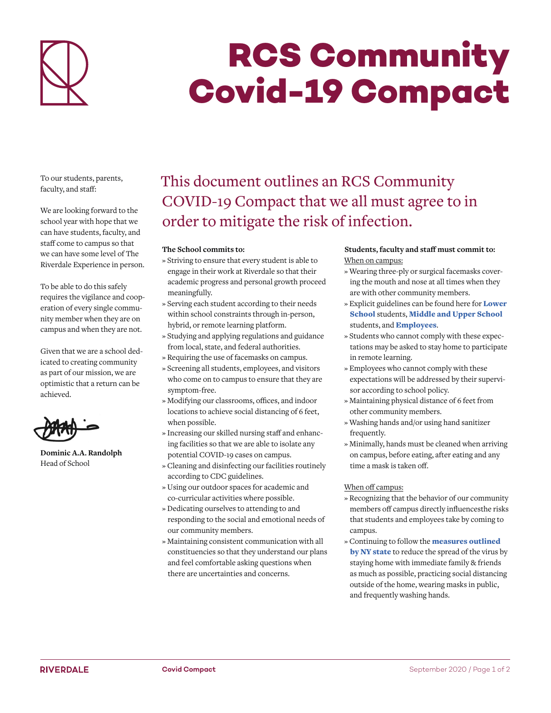

# **RCS Community Covid-19 Compact**

To our students, parents, faculty, and staf:

We are looking forward to the school year with hope that we can have students, faculty, and staff come to campus so that we can have some level of The Riverdale Experience in person.

To be able to do this safely requires the vigilance and cooperation of every single community member when they are on campus and when they are not.

Given that we are a school dedicated to creating community as part of our mission, we are optimistic that a return can be achieved.



**Dominic A.A. Randolph** Head of School

# This document outlines an RCS Community COVID-19 Compact that we all must agree to in order to mitigate the risk of infection.

### **The School commits to:**

- » Striving to ensure that every student is able to engage in their work at Riverdale so that their academic progress and personal growth proceed meaningfully.
- » Serving each student according to their needs within school constraints through in-person, hybrid, or remote learning platform.
- » Studying and applying regulations and guidance from local, state, and federal authorities.
- » Requiring the use of facemasks on campus.
- » Screening all students, employees, and visitors who come on to campus to ensure that they are symptom-free.
- » Modifying our classrooms, offices, and indoor locations to achieve social distancing of 6 feet, when possible.
- » Increasing our skilled nursing staff and enhancing facilities so that we are able to isolate any potential COVID-19 cases on campus.
- » Cleaning and disinfecting our facilities routinely according to CDC guidelines.
- » Using our outdoor spaces for academic and co-curricular activities where possible.
- » Dedicating ourselves to attending to and responding to the social and emotional needs of our community members.
- » Maintaining consistent communication with all constituencies so that they understand our plans and feel comfortable asking questions when there are uncertainties and concerns.

## Students, faculty and staff must commit to: When on campus:

- » Wearing three-ply or surgical facemasks covering the mouth and nose at all times when they are with other community members.
- » Explicit guidelines can be found here for **Lower** School students, Middle and Upper School students, and **Employees**.
- » Students who cannot comply with these expectations may be asked to stay home to participate in remote learning.
- » Employees who cannot comply with these expectations will be addressed by their supervisor according to school policy.
- » Maintaining physical distance of 6 feet from other community members.
- » Washing hands and/or using hand sanitizer frequently.
- » Minimally, hands must be cleaned when arriving on campus, before eating, after eating and any time a mask is taken off.

## When off campus:

- » Recognizing that the behavior of our community members off campus directly influencesthe risks that students and employees take by coming to campus.
- » Continuing to follow the **measures outlined** by NY state to reduce the spread of the virus by staying home with immediate family & friends as much as possible, practicing social distancing outside of the home, wearing masks in public, and frequently washing hands.